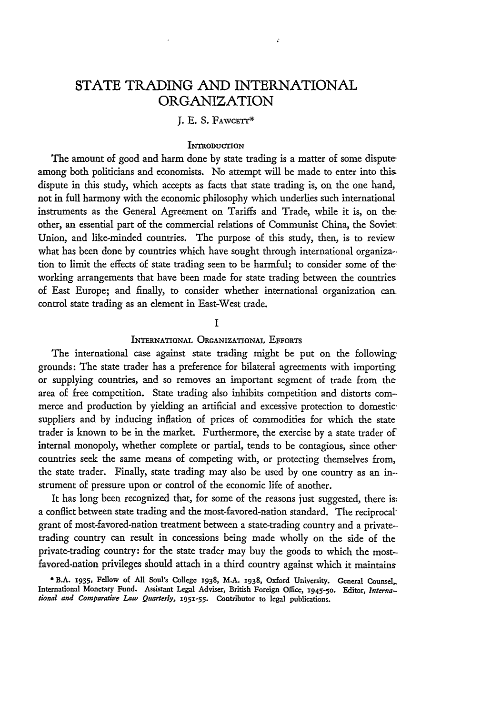# **STATE TRADING AND** INTERNATIONAL ORGANIZATION

# J. E. S. Fawce<mark>tt</mark>

## **INTRODUCTION**

The amount of good and harm done by state trading is a matter of some disputeamong both politicians and economists. No attempt will be made to enter into this dispute in this study, which accepts as facts that state trading is, on the one hand, not in full harmony with the economic philosophy which underlies such international instruments as the General Agreement on Tariffs and Trade, while it is, on the other, an essential part of the commercial relations of Communist China, the Soviet Union, and like-minded countries. The purpose of this study, then, is to review what has been done by countries which have sought through international organiza- tion to limit the effects of state trading seen to be harmful; to consider some of theworking arrangements that have been made for state trading between the countries of East Europe; and finally, to consider whether international organization can control state trading as an element in East-West trade.

## **I**

# INTERNATIONAL ORGANIZATIONAL EFFORTS

The international case against state trading might be put on the following: grounds: The state trader has a preference for bilateral agreements with importing or supplying countries, and so removes an important segment of trade from the area of free competition. State trading also inhibits competition and distorts commerce and production by yielding an artificial and excessive protection to domesticsuppliers and by inducing inflation of prices of commodities for which the state trader is known to be in the market. Furthermore, the exercise by a state trader of internal monopoly, whether complete or partial, tends to be contagious, since other countries seek the same means of competing with, or protecting themselves from, the state trader. Finally, state trading may also be used by one country as an in- strument of pressure upon or control of the economic life of another.

It has long been recognized that, for some of the reasons just suggested, there is. a conflict between state trading and the most-favored-nation standard. The reciprocalgrant of most-favored-nation treatment between a state-trading country and a privatetrading country can result in concessions being made wholly on the side of the private-trading country: for the state trader may buy the goods to which the mostfavored-nation privileges should attach in a third country against which it maintains

**<sup>0</sup> B.A. 1935, Fellow of All Soul's** College **1938, M.A. 1938, Oxford University. General Counsel,.** International **Monetary Fund.** Assistant **Legal** Adviser, British **Foreign** Office, **X945-5 <sup>o</sup> .** Editor, *International and Comparative Law Quarterly,* **1951-55.** Contributor **to legal** publications.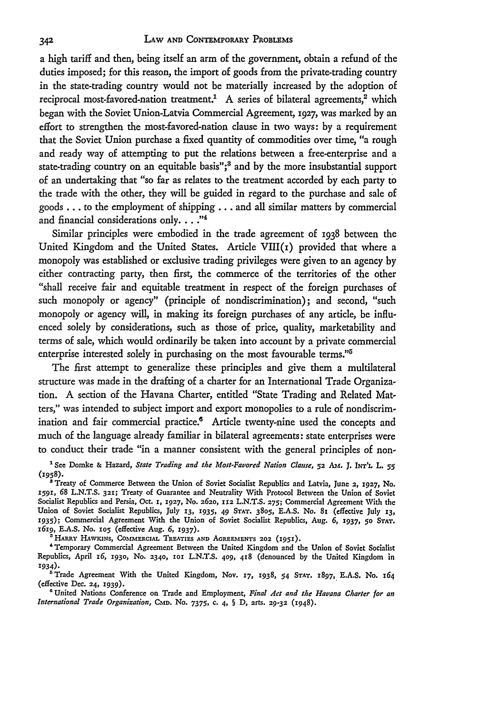a high tariff and then, being itself an arm of the government, obtain a refund of the duties imposed; for this reason, the import of goods from the private-trading country in the state-trading country would not be materially increased by the adoption of reciprocal most-favored-nation treatment.<sup>1</sup> A series of bilateral agreements,<sup>2</sup> which began with the Soviet Union-Latvia Commercial Agreement, 1927, was marked by an effort to strengthen the most-favored-nation clause in two ways: by a requirement that the Soviet Union purchase a fixed quantity of commodities over time, "a rough and ready way of attempting to put the relations between a free-enterprise and a state-trading country on an equitable basis";<sup>3</sup> and by the more insubstantial support of an undertaking that "so far as relates to the treatment accorded by each party to the trade with the other, they will be guided in regard to the purchase and sale of goods **...** to the employment of shipping **...** and all similar matters by commercial and financial considerations only. . . .<sup>34</sup>

Similar principles were embodied in the trade agreement of 1938 between the United Kingdom and the United States. Article  $VIII(r)$  provided that where a monopoly was established or exclusive trading privileges were given to an agency by either contracting party, then first, the commerce of the territories of the other "shall receive fair and equitable treatment in respect of the foreign purchases of such monopoly or agency" (principle of nondiscrimination); and second, "such monopoly or agency will, in making its foreign purchases of any article, be influenced solely by considerations, such as those of price, quality, marketability and terms of sale, which would ordinarily be taken into account by a private commercial enterprise interested solely in purchasing on the most favourable terms."<sup>5</sup>

The first attempt to generalize these principles and give them a multilateral structure was made in the drafting of a charter for an International Trade Organization. A section of the Havana Charter, entitled "State Trading and Related Matters," was intended to subject import and export monopolies to a rule of nondiscrimination and fair commercial practice.<sup>6</sup> Article twenty-nine used the concepts and much of the language already familiar in bilateral agreements: state enterprises were to conduct their trade "in a manner consistent with the general principles of non-

<sup>2</sup> Treaty of Commerce Between the Union of Soviet Socialist Republics and Latvia, June 2, 1927, No. **1591,** 68 L.N.T.S. **321;** Treaty of Guarantee and Neutrality With Protocol Between the Union of Soviet Socialist Republics and Persia, Oct. **1, 1927, No.** 262o, **112** L.N.T.S. **275;** Commercial Agreement With the Union of Soviet Socialist Republics, July *13, 1935, 49* **STAT. 3805,** E.A.S. *No.* 81 (effective July *13,* **1935);** Commercial Agreement With the Union of Soviet Socialist Republics, Aug. *6,* **1937, 50 STAT.** 1619, E.A.S. No. 105 (effective Aug. 6, 1937).

HARRY HAWKINS, COMMERCIAL TREATIES AND AGREEMENTS 202 (1951).

'Temporary Commercial Agreement Between the United Kingdom and the Union of Soviet Socialist Republics, April *z6, 193o,* No. **2340, 1o L.N.T.S. 409,** 48 (denounced **by** the United Kingdom in 1934).

'Trade Agreement With the United Kingdom, Nov. **17,** 1938, *54* **STAT.** x897, E.A.S. No. *164* (effective **Dec. 24,** 1939).

**'** United Nations Conference on Trade and Employment, *Final Act and the Havana Charter for an International Trade Organization, CMD.* No. 7375, c. 4, § D, arts. **29-32** (1948).

**<sup>&#</sup>x27;See** Domke **&** Hazard, *State Trading and the Most-Favored Nation Clause,* **52** *A.* J. *INT'L* L. *55* (1958).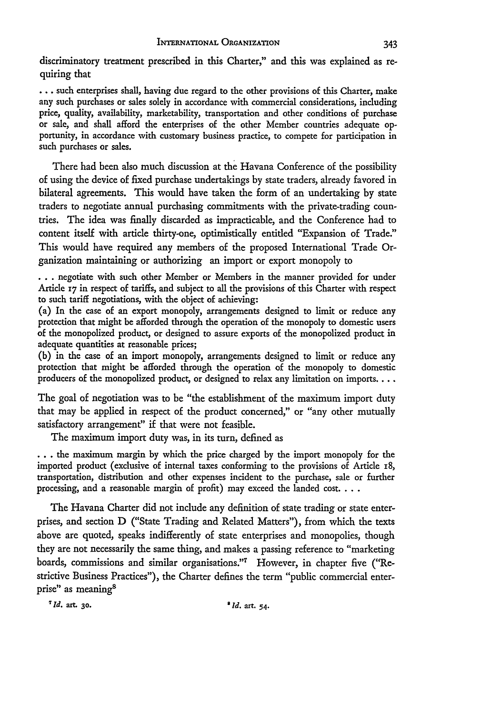discriminatory treatment prescribed in this Charter," and this was explained as requiring that

**...** such enterprises shall, having due regard to the other provisions of this Charter, make any such purchases or sales solely in accordance with commercial considerations, including price, quality, availability, marketability, transportation and other conditions of purchase or sale, and shall afford the enterprises of the other Member countries adequate opportunity, in accordance with customary business practice, to compete for participation in such purchases or sales.

There had been also much discussion at the Havana Conference of the possibility of using the device of fixed purchase undertakings **by** state traders, already favored in bilateral agreements. This would have taken the form of an undertaking **by** state traders to negotiate annual purchasing commitments with the private-trading countries. The idea was finally discarded as impracticable, and the Conference had to content itself with article thirty-one, optimistically entitled "Expansion of Trade." This would have required any members of the proposed International Trade Organization maintaining or authorizing an import or export monopoly to

**...** negotiate with such other Member or Members in the manner provided for under Article **17** in respect of tariffs, and subject to all the provisions of this Charter with respect to such tariff negotiations, with the object of achieving:

(a) In the case of an export monopoly, arrangements designed to limit or reduce any protection that might be afforded through the operation of the monopoly to domestic users of the monopolized product, or designed to assure exports of the monopolized product in adequate quantities at reasonable prices;

**(b)** in the case of an import monopoly, arrangements designed to limit or reduce any protection that might be afforded through the operation of the monopoly to domestic producers of the monopolized product, or designed to relax any limitation on imports....

The goal of negotiation was to be "the establishment of the maximum import duty that may be applied in respect of the product concerned," or "any other mutually satisfactory arrangement" if that were not feasible.

The maximum import duty was, in its turn, defined as

**...** the maximum margin **by** which the price charged **by** the import monopoly for the imported product (exclusive of internal taxes conforming to the provisions of Article **i8,** transportation, distribution and other expenses incident to the purchase, sale or further processing, and a reasonable margin of profit) may exceed the landed **cost....**

The Havana Charter did not include any definition of state trading or state enterprises, and section **D** ("State Trading and Related Matters"), from which the texts above are quoted, speaks indifferently of state enterprises and monopolies, though they are not necessarily the same thing, and makes a passing reference to "marketing boards, commissions and similar organisations."7 However, in chapter five ("Restrictive Business Practices"), the Charter defines the term "public commercial enterprise" as meaning<sup>8</sup>

*" Id. art.* **30.** *' 1d. art.* **54.**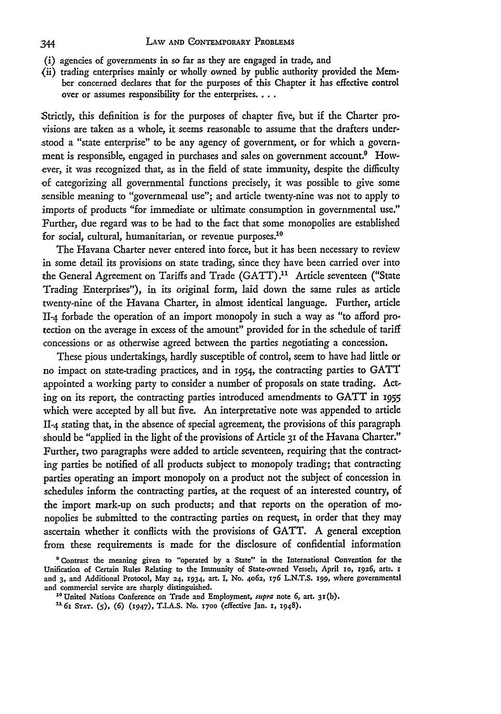- (i) agencies of governments in so far as they are engaged in trade, and
- (ii) trading enterprises mainly or wholly owned by public authority provided the Member concerned declares that for the purposes of this Chapter it has effective control over or assumes responsibility for the enterprises....

Strictly, this definition is for the purposes of chapter five, but if the Charter provisions are taken as a whole, it seems reasonable to assume that the drafters understood a "state enterprise" to be any agency of government, or for which a government is responsible, engaged in purchases and sales on government account.<sup>9</sup> However, it was recognized that, as in the field of state immunity, despite the difficulty of categorizing all governmental functions precisely, it was possible to give some sensible meaning to "governmenal use"; and article twenty-nine was not to apply to imports of products "for immediate or ultimate consumption in governmental use." Further, due regard was to be had to the fact that some monopolies are established for social, cultural, humanitarian, or revenue purposes. $10$ 

The Havana Charter never entered into force, but it has been necessary to review in some detail its provisions on state trading, since they have been carried over into the General Agreement on Tariffs and Trade (GATT).<sup>11</sup> Article seventeen ("State Trading Enterprises"), in its original form, laid down the same rules as article twenty-nine of the Havana Charter, in almost identical language. Further, article 11-4 forbade the operation of an import monopoly in such a way as "to afford protection on the average in excess of the amount" provided for in the schedule of tariff concessions or as otherwise agreed between the parties negotiating a concession.

These pious undertakings, hardly susceptible of control, seem to have had little or no impact on state-trading practices, and in 1954, the contracting parties to GATT appointed a working party to consider a number of proposals on state trading. Acting on its report, the contracting parties introduced amendments to GATT in <sup>1955</sup> which were accepted by all but five. An interpretative note was appended to article 11-4 stating that, in the absence of special agreement, the provisions of this paragraph should be "applied in the light of the provisions of Article **31** of the Havana Charter." Further, two paragraphs were added to article seventeen, requiring that the contracting parties be notified of all products subject to monopoly trading; that contracting parties operating an import monopoly on a product not the subject of concession in schedules inform the contracting parties, at the request of an interested country, of the import mark-up on such products; and that reports on the operation of monopolies be submitted to the contracting parties on request, in order that they may ascertain whether it conflicts with the provisions of GATT. A general exception from these requirements is made for the disclosure of confidential information

**<sup>0</sup>** Contrast **the** meaning given **to "operated by a State"** in **the International** Convention **for the Unification** of **Certain Rules** Relating **to** the Immunity of State-owned Vessels, April **10, 1926, arts. x** and **3,** and Additional **Protocol, May 24, 1934, art.** I, **No. 4062, 176 L.N.T.S. 199, where** governmental and commercial service **are sharply** distinguished.

**<sup>&</sup>quot;o United Nations** Conference on Trade and Employment, supra **note 6, art. 31(b).**

*<sup>&#</sup>x27;61* **STAT. (5), (6) (1947), T.I.A.S. No. Y700** (effective **Jan. 1, 1948).**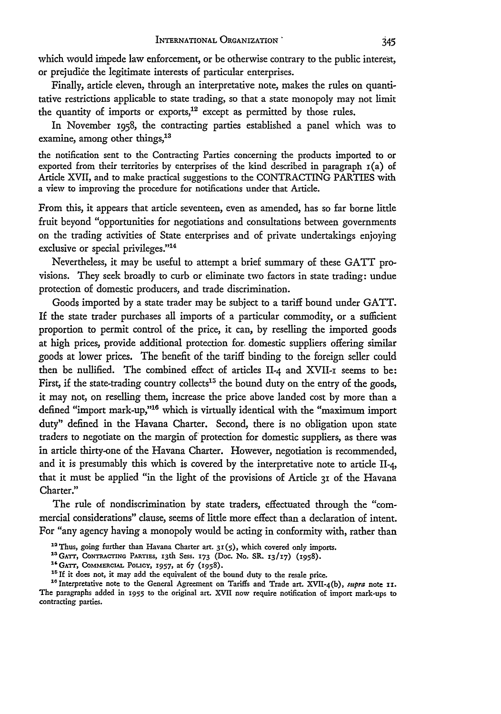which would impede law enforcement, or be otherwise contrary to the public interest, or prejudice the legitimate interests of particular enterprises.

Finally, article eleven, through an interpretative note, makes the rules on quantitative restrictions applicable to state trading, so that a state monopoly may not limit the quantity of imports or exports,<sup>12</sup> except as permitted by those rules.

In November 1958, the contracting parties established a panel which was to examine, among other things,<sup>13</sup>

the notification sent to the Contracting Parties concerning the products imported to or exported from their territories by enterprises of the kind described in paragraph  $r(a)$  of Article XVII, and to make practical suggestions to the CONTRACTING PARTIES with a view to improving the procedure for notifications under that Article.

From this, it appears that article seventeen, even as amended, has so far borne little fruit beyond "opportunities for negotiations and consultations between governments on the trading activities of State enterprises and of private undertakings enjoying exclusive or special privileges."<sup>14</sup>

Nevertheless, it may be useful to attempt a brief summary of these GATT provisions. They seek broadly to curb or eliminate two factors in state trading: undue protection of domestic producers, and trade discrimination.

Goods imported by a state trader may be subject to a tariff bound under GATT. If the state trader purchases all imports of a particular commodity, or a sufficient proportion to permit control of the price, it can, by reselling the imported goods at high prices, provide additional protection for. domestic suppliers offering similar goods at lower prices. The benefit of the tariff binding to the foreign seller could then be nullified. The combined effect of articles 11-4 and XVII-i seems to be: First, if the state-trading country collects<sup>15</sup> the bound duty on the entry of the goods, it may not, on reselling them, increase the price above landed cost by more than a defined "import mark-up,"<sup>16</sup> which is virtually identical with the "maximum import duty" defined in the Havana Charter. Second, there is no obligation upon state traders to negotiate on the margin of protection for domestic suppliers, as there was in article thirty-one of the Havana Charter. However, negotiation is recommended, and it is presumably this which is covered by the interpretative note to article 11-4, that it must be applied "in the light of the provisions of Article 31 of the Havana Charter."

The rule of nondiscrimination by state traders, effectuated through the "commercial considerations" clause, seems of little more effect than a declaration of intent. For "any agency having a monopoly would be acting in conformity with, rather than

- <sup>12</sup> Thus, going further than Havana Charter art. 31(5), which covered only imports.
- <sup>13</sup> GATT, CONTRACTING PARTIES, 13th Sess. 173 (Doc. No. SR. 13/17) (1958).
- **"GATT, COMMERCIAL POLICY, 1957,** at **67** (1958).
- <sup>15</sup> If it does not, it may add the equivalent of the bound duty to the resale price.

<sup>16</sup> Interpretative note to the General Agreement on Tariffs and Trade art. XVII-4(b), *supra* note **11**. The paragraphs added in **1955** to the original art. XVII now require notification of import mark-ups to contracting parties.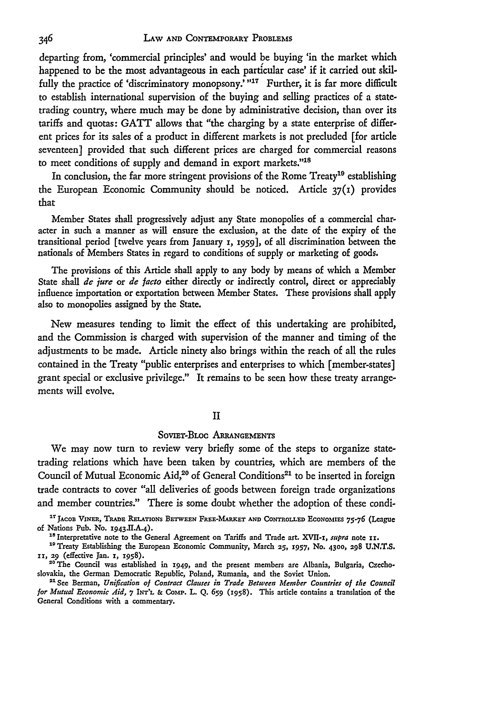departing from, 'commercial principles' and would be buying 'in the market which happened to be the most advantageous in each particular case' if it carried out skilfully the practice of 'discriminatory monopsony.'"<sup>17</sup> Further, it is far more difficult to establish international supervision of the buying and selling practices of a statetrading country, where much may be done by administrative decision, than over its tariffs and quotas: GATT allows that "the charging by a state enterprise of different prices for its sales of a product in different markets is not precluded [for article seventeen] provided that such different prices are charged for commercial reasons to meet conditions of supply and demand in export markets."<sup>18</sup>

In conclusion, the far more stringent provisions of the Rome  $T$ reaty<sup>10</sup> establishing the European Economic Community should be noticed. Article **37(I)** provides that

Member States shall progressively adjust any State monopolies of a commercial character in such a manner as will ensure the exclusion, at the date of the expiry of the transitional period [twelve years from January 1, 1959], of all discrimination between the nationals of Members States in regard to conditions of supply or marketing of goods.

The provisions of this Article shall apply to any body by means of which a Member State shall *de jure* or *de facto* either directly or indirectly control, direct or appreciably influence importation or exportation between Member States. These provisions shall apply also to monopolies assigned by the State.

New measures tending to limit the effect of this undertaking are prohibited, and the Commission is charged with supervision of the manner and timing of the adjustments to be made. Article ninety also brings within the reach of all the rules contained in the Treaty "public enterprises and enterprises to which [member-states] grant special or exclusive privilege." It remains to be seen how these treaty arrangements will evolve.

#### II

# SovIET-BLoc **ARRANGEMENTS**

We may now turn to review very briefly some of the steps to organize statetrading relations which have been taken **by** countries, which **are** members of the Council of Mutual Economic Aid,<sup>20</sup> of General Conditions<sup>21</sup> to be inserted in foreign trade contracts to cover "all deliveries of goods between foreign trade organizations and member countries." There is some doubt whether the adoption of these condi-

<sup>17</sup> JACOB VINER, TRADE RELATIONS BETWEEN FREE-MARKET AND CONTROLLED ECONOMIES 75-76 (League of Nations Pub. No. 1943.II.A.4).<br><sup>18</sup> Interpretative note to the General Agreement on Tariffs and Trade art. XVII-1, *supra* note 11

" Treaty Establishing the European Economic Community, March **25, 1957, No. 4300, 298 U.N.T.S. 11,** 29 (effective Jan. 1, **1958).**

"°The Council was established in 1949, and the present members **are** Albania, Bulgaria, Czechoslovakia, the German Democratic Republic, Poland, Rumania, and the Soviet Union. <sup>51</sup> See Berman, *Unification of Contract Clauses in Trade Between Member Countries of the Council*

*for Mutual Economic Aid,* **7** INT'L **& CoMP.** L. Q. *659* (1958). This article contains a translation of the General Conditions with a commentary.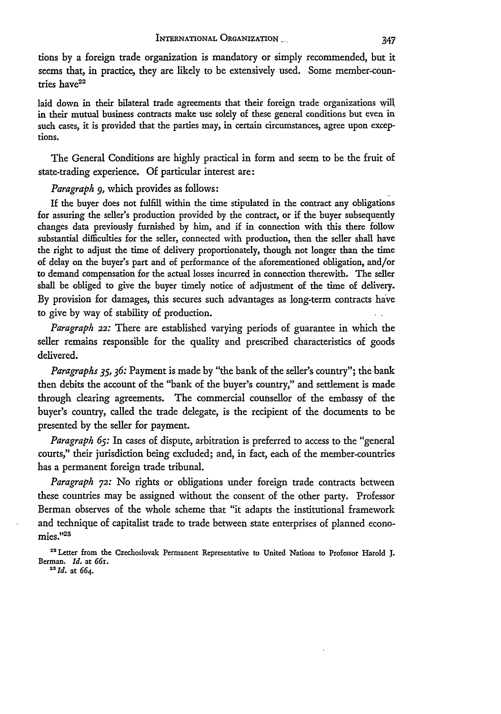tions by a foreign trade organization is mandatory or simply recommended, but it seems that, in practice, they are likely to be extensively used. Some member-countries have<sup>22</sup>

laid down in their bilateral trade agreements that their foreign trade organizations will in their mutual business contracts make use solely of these general conditions but even in such cases, it is provided that the parties may, in certain circumstances, agree upon exceptions.

The General Conditions are highly practical in form and seem to be the fruit of state-trading experience. Of particular interest are:

*Paragraph 9,* which provides as follows:

If the buyer does not fulfill within the time stipulated in the contract any obligations for assuring the seller's production provided by the contract, or if the buyer subsequently changes data previously furnished by him, and if in connection with this there follow substantial difficulties for the seller, connected with production, then the seller shall have the right to adjust the time of delivery proportionately, though not longer than the time of delay on the buyer's part and of performance of the aforementioned obligation, and/or to demand compensation for the actual losses incurred in connection therewith. The seller shall be obliged to give the buyer timely notice of adjustment of the time of delivery. By provision for damages, this secures such advantages as long-term contracts have to give by way of stability of production.

*Paragraph* 22: There are established varying periods of guarantee in which the seller remains responsible for the quality and prescribed characteristics of goods delivered.

*Paragraphs 35,36:* Payment is made by "the bank of the seller's country"; the bank then debits the account of the "bank of the buyer's country," and settlement is made through clearing agreements. The commercial counsellor of the embassy of the buyer's country, called the trade delegate, is the recipient of the documents to be presented by the seller for payment.

*Paragraph 65:* In cases of dispute, arbitration is preferred to access to the "general courts," their jurisdiction being excluded; and, in fact, each of the member-countries has a permanent foreign trade tribunal.

*Paragraph* **72:** No rights or obligations under foreign trade contracts between these countries may be assigned without the consent of the other party. Professor Berman observes of the whole scheme that "it adapts the institutional framework and technique of capitalist trade to trade between state enterprises of planned economies."<sup>23</sup>

<sup>22</sup> Letter from the Czechoslovak Permanent Representative to United Nations to Professor Harold J. Berman. *Id.* at 661.

<sup>23</sup> Id. at 664.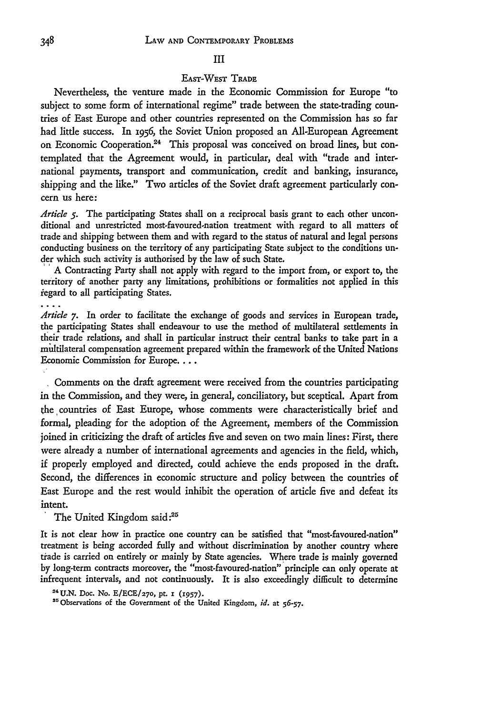#### **III**

## EAST-WEST TRADE

Nevertheless, the venture made in the Economic Commission for Europe "to subject to some form of international regime" trade between the state-trading countries of East Europe and other countries represented on the Commission has so far had little success. In *1956,* the Soviet Union proposed an All-European Agreement on Economic Cooperation.<sup>24</sup> This proposal was conceived on broad lines, but contemplated that the Agreement would, in particular, deal with "trade and international payments, transport and communication, credit and banking, insurance, shipping and the like." Two articles of the Soviet draft agreement particularly concern us here:

*Article 5.* The participating States shall on a reciprocal basis grant to each other unconditional and unrestricted most-favoured-nation treatment with regard to all matters of trade and shipping between them and with regard to the status of natural and legal persons conducting business on the territory of any participating State subject to the conditions under which such activity is authorised by the law of such State.

A Contracting Party shall not apply with regard to the import from, or export to, the territory of another party any limitations, prohibitions or formalities not applied in this iegard to all participating States.

*Article* **7.** In order to facilitate the exchange of goods and services in European trade, the participating States shall endeavour to use the method of multilateral settlements in their trade relations, and shall in particular instruct their central banks to take part in a mdltilateral compensation agreement prepared within the framework of the United Nations Economic Commission for Europe....

Comments on the draft agreement were received from the countries participating in the Commission, and they were, in general, conciliatory, but sceptical. Apart from the countries of East Europe, whose comments were characteristically brief and formal, pleading for the adoption of the Agreement, members of the Commission joined in criticizing the draft of articles five and seven on two main lines: First, there were already a number of international agreements and agencies in the field, which, if properly employed and directed, could achieve the ends proposed in the draft. Second, the differences in economic structure and policy between the countries of East Europe and the rest would inhibit the operation of article five and defeat its intent.<br>The United Kingdom said:<sup>25</sup>

It is not clear how in practice one country can be satisfied that "most-favoured-nation" treatment is being accorded fully and without discrimination by another country where trade is carried on entirely or mainly by State agencies. Where trade is mainly governed by long-term contracts moreover, the "most-favoured-nation" principle can only operate at infrequent intervals, and not continuously. It is also exceedingly difficult to determine

<sup>&</sup>lt;sup>24</sup> U.N. Doc. No. E/ECE/270, pt. 1 (1957).

<sup>&</sup>lt;sup>25</sup> Observations of the Government of the United Kingdom, *id.* at 56-57.